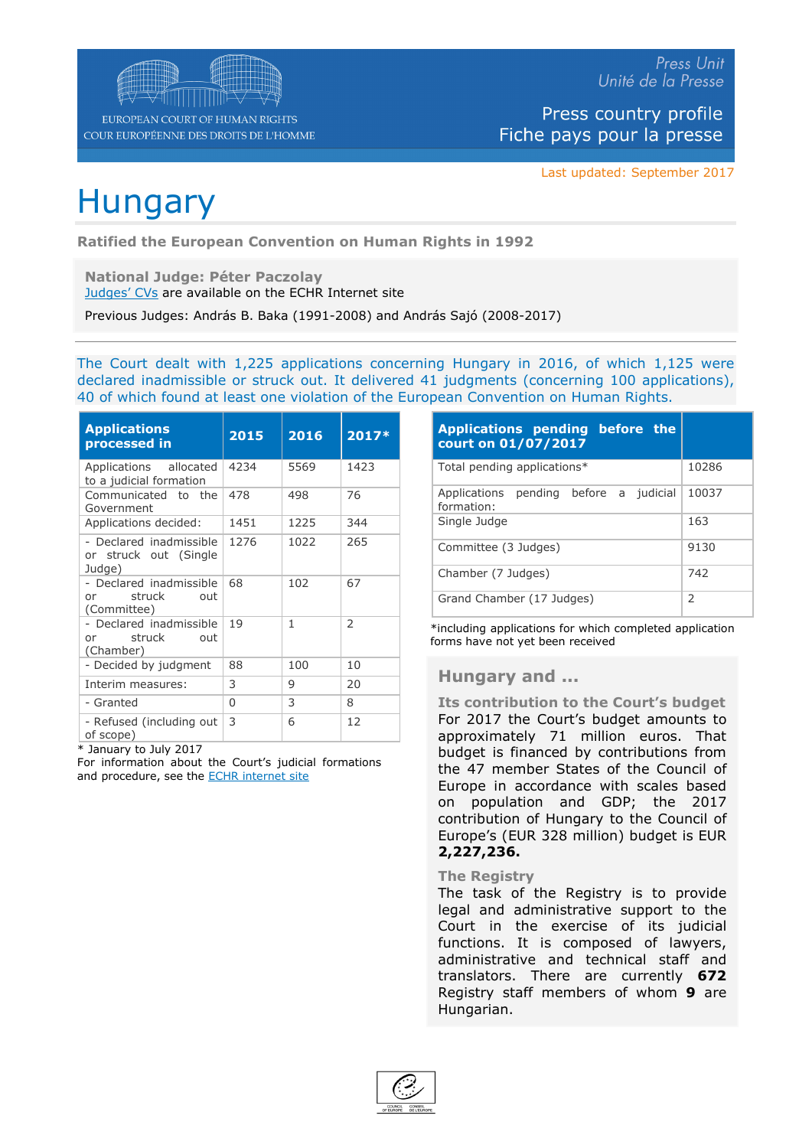

COUR EUROPÉENNE DES DROITS DE L'HOMME

Press Unit Unité de la Presse

# Press country profile Fiche pays pour la presse

Last updated: September 2017

# Hungary

**Ratified the European Convention on Human Rights in 1992**

**National Judge: Péter Paczolay** [Judges'](http://www.echr.coe.int/ECHR/EN/Header/The+Court/The+Court/Judges+of+the+Court/) CVs are available on the ECHR Internet site

Previous Judges: András B. Baka (1991-2008) and András Sajó (2008-2017)

The Court dealt with 1,225 applications concerning Hungary in 2016, of which 1,125 were declared inadmissible or struck out. It delivered 41 judgments (concerning 100 applications), 40 of which found at least one violation of the European Convention on Human Rights.

| <b>Applications</b><br>processed in                           | 2015 | 2016 | 2017* |
|---------------------------------------------------------------|------|------|-------|
| Applications allocated<br>to a judicial formation             | 4234 | 5569 | 1423  |
| Communicated to the<br>Government                             | 478  | 498  | 76    |
| Applications decided:                                         | 1451 | 1225 | 344   |
| - Declared inadmissible<br>or struck out (Single<br>Judge)    | 1276 | 1022 | 265   |
| - Declared inadmissible<br>struck<br>out<br>or<br>(Committee) | 68   | 102  | 67    |
| - Declared inadmissible<br>struck<br>nut<br>or<br>(Chamber)   | 19   | 1    | 2     |
| - Decided by judgment                                         | 88   | 100  | 10    |
| Interim measures:                                             | 3    | 9    | 20    |
| - Granted                                                     | 0    | 3    | 8     |
| - Refused (including out<br>of scope)                         | 3    | 6    | 12    |

\* January to July 2017

For information about the Court's judicial formations and procedure, see the **ECHR** internet site

| Applications pending before the<br>court on 01/07/2017 |               |
|--------------------------------------------------------|---------------|
| Total pending applications*                            | 10286         |
| Applications pending before a judicial<br>formation:   | 10037         |
| Single Judge                                           | 163           |
| Committee (3 Judges)                                   | 9130          |
| Chamber (7 Judges)                                     | 742           |
| Grand Chamber (17 Judges)                              | $\mathcal{P}$ |

\*including applications for which completed application forms have not yet been received

# **Hungary and ...**

**Its contribution to the Court's budget** For 2017 the Court's budget amounts to approximately 71 million euros. That budget is financed by contributions from the 47 member States of the Council of Europe in accordance with scales based on population and GDP; the 2017 contribution of Hungary to the Council of Europe's (EUR 328 million) budget is EUR **2,227,236.**

#### **The Registry**

The task of the Registry is to provide legal and administrative support to the Court in the exercise of its judicial functions. It is composed of lawyers, administrative and technical staff and translators. There are currently **672** Registry staff members of whom **9** are Hungarian.

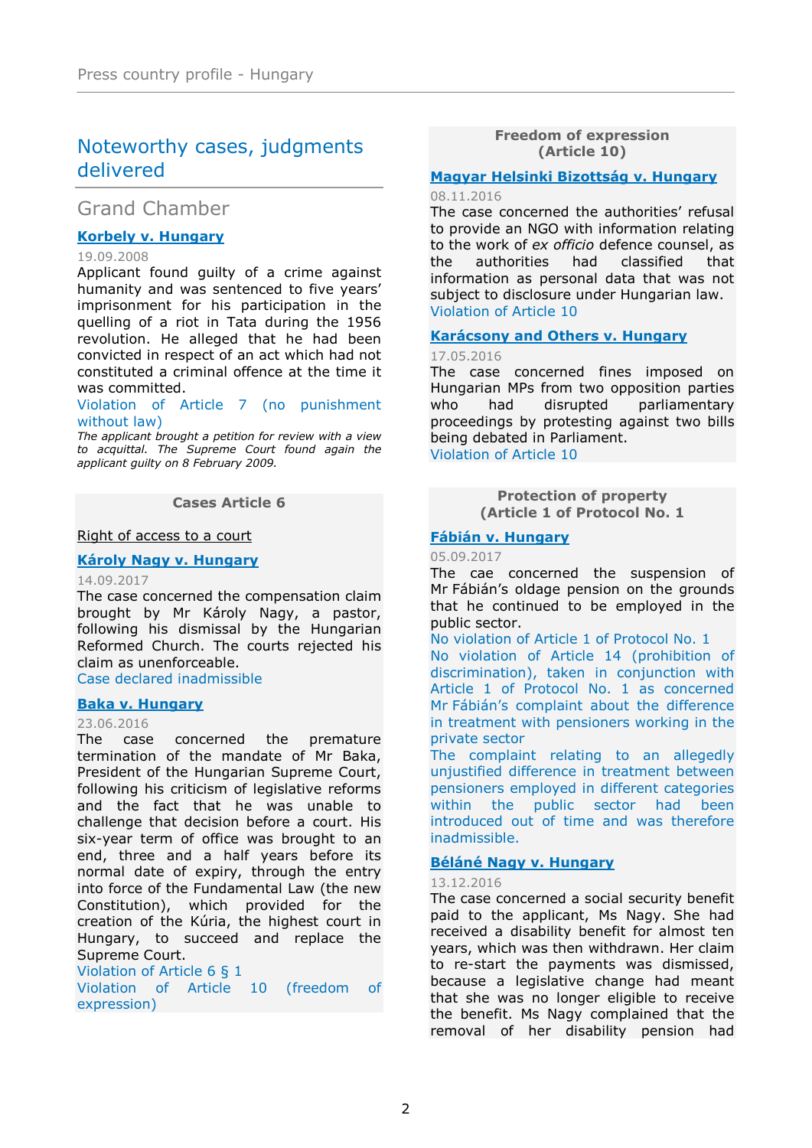# Noteworthy cases, judgments delivered

# Grand Chamber

#### **[Korbely v. Hungary](http://cmiskp.echr.coe.int/tkp197/view.asp?action=html&documentId=840800&portal=hbkm&source=externalbydocnumber&table=F69A27FD8FB86142BF01C1166DEA398649)**

#### 19.09.2008

Applicant found guilty of a crime against humanity and was sentenced to five years' imprisonment for his participation in the quelling of a riot in Tata during the 1956 revolution. He alleged that he had been convicted in respect of an act which had not constituted a criminal offence at the time it was committed.

#### Violation of Article 7 (no punishment without law)

*The applicant brought a petition for review with a view to acquittal. The Supreme Court found again the applicant guilty on 8 February 2009.*

**Cases Article 6**

#### Right of access to a court

#### **[Károly Nagy v. Hungary](http://hudoc.echr.coe.int/eng-press?i=003-5838441-7437950)**

#### 14.09.2017

The case concerned the compensation claim brought by Mr Károly Nagy, a pastor, following his dismissal by the Hungarian Reformed Church. The courts rejected his claim as unenforceable.

Case declared inadmissible

#### **[Baka v. Hungary](http://hudoc.echr.coe.int/eng-press?i=003-5416083-6778858)**

#### 23.06.2016

The case concerned the premature termination of the mandate of Mr Baka, President of the Hungarian Supreme Court, following his criticism of legislative reforms and the fact that he was unable to challenge that decision before a court. His six-year term of office was brought to an end, three and a half years before its normal date of expiry, through the entry into force of the Fundamental Law (the new Constitution), which provided for the creation of the Kúria, the highest court in Hungary, to succeed and replace the Supreme Court.

Violation of Article 6 § 1

Violation of Article 10 (freedom of expression)

#### **Freedom of expression (Article 10)**

#### **[Magyar Helsinki Bizottság v. Hungary](http://hudoc.echr.coe.int/eng-press?i=003-5539963-6976296)**

#### 08.11.2016

The case concerned the authorities' refusal to provide an NGO with information relating to the work of *ex officio* defence counsel, as the authorities had classified that information as personal data that was not subject to disclosure under Hungarian law. Violation of Article 10

#### **[Karácsony and Others v. Hungary](http://hudoc.echr.coe.int/eng-press?i=003-5376953-6718327)**

#### 17.05.2016

The case concerned fines imposed on Hungarian MPs from two opposition parties who had disrupted parliamentary proceedings by protesting against two bills being debated in Parliament. Violation of Article 10

> **Protection of property (Article 1 of Protocol No. 1**

#### **[Fábián v. Hungary](http://hudoc.echr.coe.int/eng-press?i=003-5825118-7418759)**

05.09.2017

The cae concerned the suspension of Mr Fábián's oldage pension on the grounds that he continued to be employed in the public sector.

No violation of Article 1 of Protocol No. 1

No violation of Article 14 (prohibition of discrimination), taken in conjunction with Article 1 of Protocol No. 1 as concerned Mr Fábián's complaint about the difference in treatment with pensioners working in the private sector

The complaint relating to an allegedly unjustified difference in treatment between pensioners employed in different categories within the public sector had been introduced out of time and was therefore inadmissible.

#### **[Béláné Nagy v. Hungary](http://hudoc.echr.coe.int/eng-press?i=003-5576134-7035686)**

#### 13.12.2016

The case concerned a social security benefit paid to the applicant, Ms Nagy. She had received a disability benefit for almost ten years, which was then withdrawn. Her claim to re-start the payments was dismissed, because a legislative change had meant that she was no longer eligible to receive the benefit. Ms Nagy complained that the removal of her disability pension had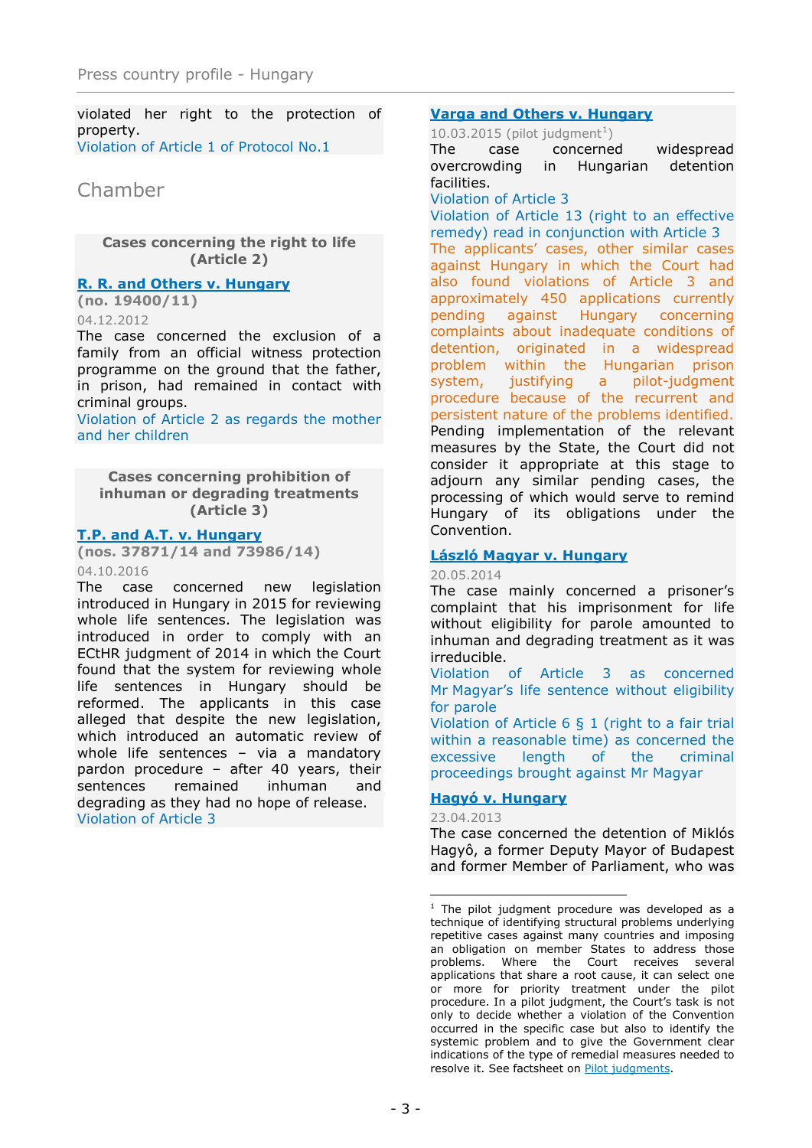violated her right to the protection of property.

Violation of Article 1 of Protocol No.1

Chamber

#### **Cases concerning the right to life (Article 2)**

#### **[R. R. and Others v. Hungary](http://hudoc.echr.coe.int/sites/eng-press/pages/search.aspx?i=003-4181828-4950105)**

**(no. 19400/11)**

#### 04.12.2012

The case concerned the exclusion of a family from an official witness protection programme on the ground that the father, in prison, had remained in contact with criminal groups.

Violation of Article 2 as regards the mother and her children

**Cases concerning prohibition of inhuman or degrading treatments (Article 3)**

#### **[T.P. and A.T. v. Hungary](http://hudoc.echr.coe.int/eng-press?i=003-5506496-6921796)**

**(nos. 37871/14 and 73986/14)**

#### 04.10.2016

<span id="page-2-0"></span>The case concerned new legislation introduced in Hungary in 2015 for reviewing whole life sentences. The legislation was introduced in order to comply with an ECtHR judgment of 2014 in which the Court found that the system for reviewing whole life sentences in Hungary should be reformed. The applicants in this case alleged that despite the new legislation, which introduced an automatic review of whole life sentences - via a mandatory pardon procedure – after 40 years, their sentences remained inhuman and degrading as they had no hope of release. Violation of Article 3

#### **[Varga and Others v. Hungary](http://hudoc.echr.coe.int/sites/eng-press/pages/search.aspx?i=003-5032416-6183669)**

 $10.03.2015$  $10.03.2015$  (pilot judgment<sup>1</sup>)

The case concerned widespread overcrowding in Hungarian detention facilities.

Violation of Article 3

Violation of Article 13 (right to an effective remedy) read in conjunction with Article 3 The applicants' cases, other similar cases against Hungary in which the Court had also found violations of Article 3 and approximately 450 applications currently pending against Hungary concerning complaints about inadequate conditions of detention, originated in a widespread problem within the Hungarian prison system, justifying a pilot-judgment procedure because of the recurrent and persistent nature of the problems identified. Pending implementation of the relevant measures by the State, the Court did not consider it appropriate at this stage to adjourn any similar pending cases, the processing of which would serve to remind Hungary of its obligations under the Convention.

#### **[László Magyar v. Hungary](http://hudoc.echr.coe.int/sites/eng-press/pages/search.aspx?i=003-4764328-5797216)**

20.05.2014

The case mainly concerned a prisoner's complaint that his imprisonment for life without eligibility for parole amounted to inhuman and degrading treatment as it was irreducible.

Violation of Article 3 as concerned Mr Magyar's life sentence without eligibility for parole

Violation of Article 6 § 1 (right to a fair trial within a reasonable time) as concerned the excessive length of the criminal proceedings brought against Mr Magyar

#### **[Hagyó v. Hungary](http://hudoc.echr.coe.int/sites/eng/pages/search.aspx?i=001-118647)**

23.04.2013

-

The case concerned the detention of Miklós Hagyô, a former Deputy Mayor of Budapest and former Member of Parliament, who was

 $1$  The pilot judgment procedure was developed as a technique of identifying structural problems underlying repetitive cases against many countries and imposing an obligation on member States to address those problems. Where the Court receives several applications that share a root cause, it can select one or more for priority treatment under the pilot procedure. In a pilot judgment, the Court's task is not only to decide whether a violation of the Convention occurred in the specific case but also to identify the systemic problem and to give the Government clear indications of the type of remedial measures needed to resolve it. See factsheet on [Pilot judgments.](http://www.echr.coe.int/Documents/FS_Pilot_judgments_ENG.pdf)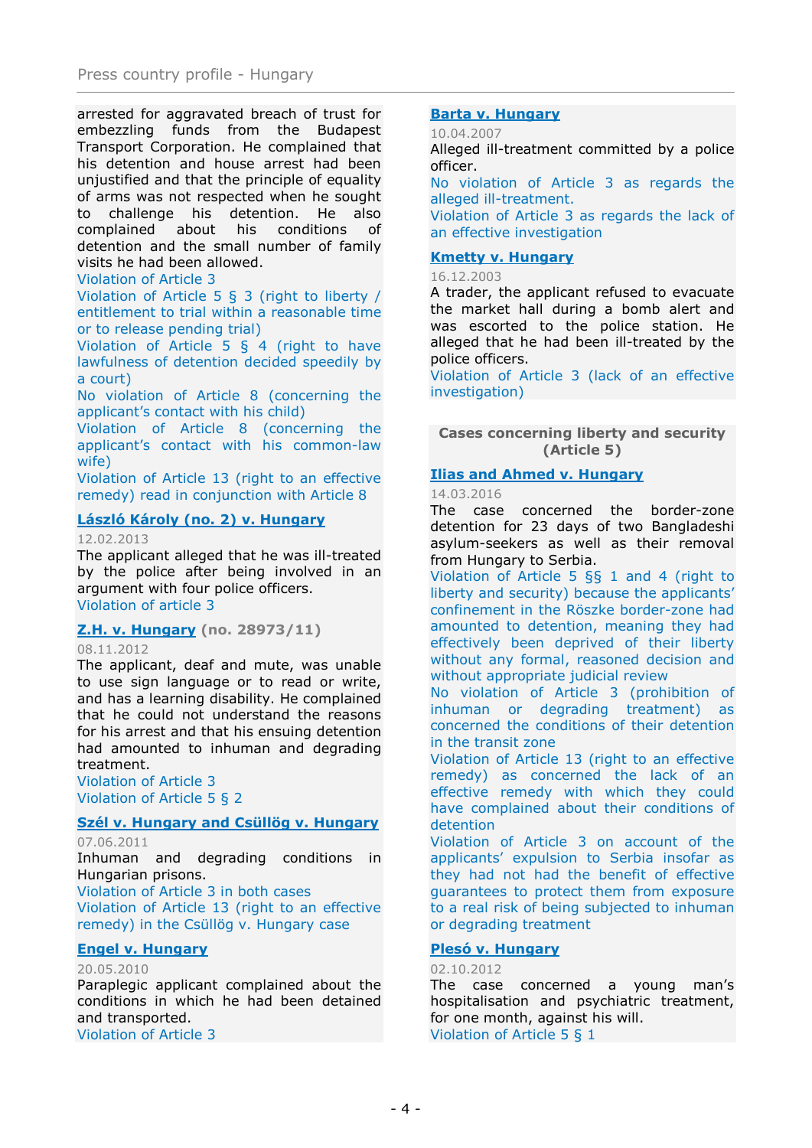arrested for aggravated breach of trust for embezzling funds from the Budapest Transport Corporation. He complained that his detention and house arrest had been unjustified and that the principle of equality of arms was not respected when he sought to challenge his detention. He also complained about his conditions of detention and the small number of family visits he had been allowed.

#### Violation of Article 3

Violation of Article 5 § 3 (right to liberty / entitlement to trial within a reasonable time or to release pending trial)

Violation of Article 5 § 4 (right to have lawfulness of detention decided speedily by a court)

No violation of Article 8 (concerning the applicant's contact with his child)

Violation of Article 8 (concerning the applicant's contact with his common-law wife)

Violation of Article 13 (right to an effective remedy) read in conjunction with Article 8

## **[László Károly \(no. 2\) v. Hungary](http://hudoc.echr.coe.int/sites/eng-press/pages/search.aspx?i=003-4255704-5069232)**

12.02.2013

The applicant alleged that he was ill-treated by the police after being involved in an argument with four police officers. Violation of article 3

#### **[Z.H. v. Hungary](http://hudoc.echr.coe.int/sites/eng-press/pages/search.aspx?i=003-4148690-4895829) (no. 28973/11)**

#### 08.11.2012

The applicant, deaf and mute, was unable to use sign language or to read or write, and has a learning disability. He complained that he could not understand the reasons for his arrest and that his ensuing detention had amounted to inhuman and degrading treatment.

Violation of Article 3 Violation of Article 5 § 2

#### **[Szél v. Hungary and Csüllög v. Hungary](http://cmiskp.echr.coe.int/tkp197/view.asp?action=open&documentId=889878&portal=hbkm&source=externalbydocnumber&table=F69A27FD8FB86142BF01C1166DEA398649)**

07.06.2011

Inhuman and degrading conditions in Hungarian prisons.

Violation of Article 3 in both cases Violation of Article 13 (right to an effective remedy) in the Csüllög v. Hungary case

#### **[Engel v. Hungary](http://cmiskp.echr.coe.int/tkp197/view.asp?action=html&documentId=868729&portal=hbkm&source=externalbydocnumber&table=F69A27FD8FB86142BF01C1166DEA398649)**

20.05.2010

Paraplegic applicant complained about the conditions in which he had been detained and transported. Violation of Article 3

#### **[Barta v. Hungary](http://cmiskp.echr.coe.int/tkp197/view.asp?action=html&documentId=815153&portal=hbkm&source=externalbydocnumber&table=F69A27FD8FB86142BF01C1166DEA398649)**

#### 10.04.2007

Alleged ill-treatment committed by a police officer.

No violation of Article 3 as regards the alleged ill-treatment.

Violation of Article 3 as regards the lack of an effective investigation

#### **[Kmetty v. Hungary](http://cmiskp.echr.coe.int/tkp197/view.asp?action=html&documentId=801256&portal=hbkm&source=externalbydocnumber&table=F69A27FD8FB86142BF01C1166DEA398649)**

16.12.2003

A trader, the applicant refused to evacuate the market hall during a bomb alert and was escorted to the police station. He alleged that he had been ill-treated by the police officers.

Violation of Article 3 (lack of an effective investigation)

**Cases concerning liberty and security (Article 5)**

#### **[Ilias and Ahmed v. Hungary](http://hudoc.echr.coe.int/eng-press?i=003-5655572-7163977)**

14.03.2016

The case concerned the border-zone detention for 23 days of two Bangladeshi asylum-seekers as well as their removal from Hungary to Serbia.

Violation of Article 5 §§ 1 and 4 (right to liberty and security) because the applicants' confinement in the Röszke border-zone had amounted to detention, meaning they had effectively been deprived of their liberty without any formal, reasoned decision and without appropriate judicial review

No violation of Article 3 (prohibition of inhuman or degrading treatment) as concerned the conditions of their detention in the transit zone

Violation of Article 13 (right to an effective remedy) as concerned the lack of an effective remedy with which they could have complained about their conditions of detention

Violation of Article 3 on account of the applicants' expulsion to Serbia insofar as they had not had the benefit of effective guarantees to protect them from exposure to a real risk of being subjected to inhuman or degrading treatment

#### **[Plesó v. Hungary](http://hudoc.echr.coe.int/sites/eng-press/pages/search.aspx?i=003-4101836-4818811)**

#### 02.10.2012

The case concerned a young man's hospitalisation and psychiatric treatment, for one month, against his will. Violation of Article 5 § 1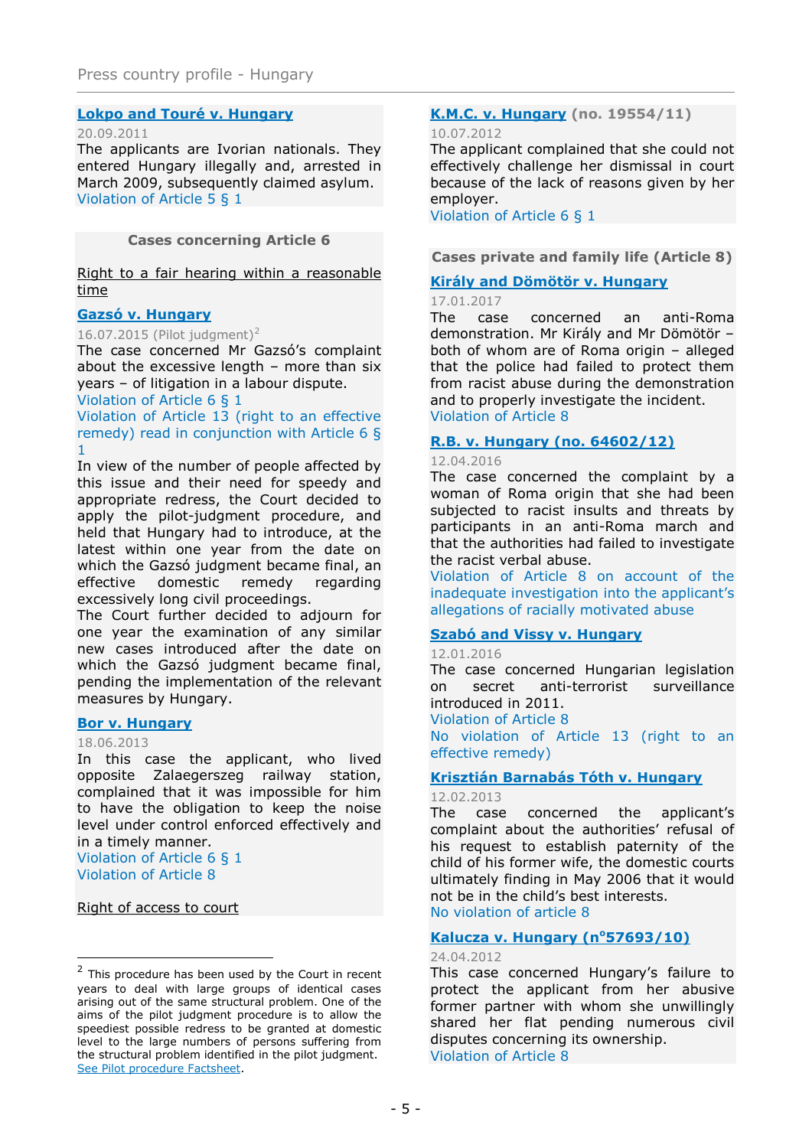#### **[Lokpo and Touré v. Hungary](http://cmiskp.echr.coe.int/tkp197/view.asp?action=html&documentId=891979&portal=hbkm&source=externalbydocnumber&table=F69A27FD8FB86142BF01C1166DEA398649)**

#### 20.09.2011

The applicants are Ivorian nationals. They entered Hungary illegally and, arrested in March 2009, subsequently claimed asylum. Violation of Article 5 § 1

#### **Cases concerning Article 6**

Right to a fair hearing within a reasonable time

#### **[Gazsó v. Hungary](http://hudoc.echr.coe.int/eng-press?i=003-5134009-6337825)**

#### 16.07.2015 (Pilot judgment)[2](#page-4-0)

The case concerned Mr Gazsó's complaint about the excessive length – more than six years – of litigation in a labour dispute.

Violation of Article 6 § 1

Violation of Article 13 (right to an effective remedy) read in conjunction with Article 6 § 1

In view of the number of people affected by this issue and their need for speedy and appropriate redress, the Court decided to apply the pilot-judgment procedure, and held that Hungary had to introduce, at the latest within one year from the date on which the Gazsó judgment became final, an effective domestic remedy regarding excessively long civil proceedings.

The Court further decided to adjourn for one year the examination of any similar new cases introduced after the date on which the Gazsó judgment became final, pending the implementation of the relevant measures by Hungary.

#### **[Bor v. Hungary](http://hudoc.echr.coe.int/sites/eng-press/pages/search.aspx?i=003-4403427-5289287)**

#### 18.06.2013

-

In this case the applicant, who lived opposite Zalaegerszeg railway station, complained that it was impossible for him to have the obligation to keep the noise level under control enforced effectively and in a timely manner. Violation of Article 6 § 1

Violation of Article 8

#### Right of access to court

# **[K.M.C. v. Hungary](http://hudoc.echr.coe.int/sites/eng-press/pages/search.aspx?i=003-4016222-4682086) (no. 19554/11)**

#### 10.07.2012

The applicant complained that she could not effectively challenge her dismissal in court because of the lack of reasons given by her employer.

Violation of Article 6 § 1

**Cases private and family life (Article 8)**

#### **[Király and Dömötör v. Hungary](http://hudoc.echr.coe.int/eng-press?i=003-5599395-7074074)**

#### 17.01.2017

The case concerned an anti-Roma demonstration. Mr Király and Mr Dömötör – both of whom are of Roma origin – alleged that the police had failed to protect them from racist abuse during the demonstration and to properly investigate the incident. Violation of Article 8

#### **[R.B. v. Hungary \(no. 64602/12\)](http://hudoc.echr.coe.int/eng-press?i=003-5347238-6670181)**

#### 12.04.2016

The case concerned the complaint by a woman of Roma origin that she had been subjected to racist insults and threats by participants in an anti-Roma march and that the authorities had failed to investigate the racist verbal abuse.

Violation of Article 8 on account of the inadequate investigation into the applicant's allegations of racially motivated abuse

#### **[Szabó and Vissy v. Hungary](http://hudoc.echr.coe.int/eng-press?i=003-5268616-6546444)**

#### 12.01.2016

The case concerned Hungarian legislation on secret anti-terrorist surveillance introduced in 2011.

Violation of Article 8

No violation of Article 13 (right to an effective remedy)

### **[Krisztián Barnabás Tóth v. Hungary](http://hudoc.echr.coe.int/sites/eng-press/pages/search.aspx?i=003-4255704-5069232)**

#### 12.02.2013

The case concerned the applicant's complaint about the authorities' refusal of his request to establish paternity of the child of his former wife, the domestic courts ultimately finding in May 2006 that it would not be in the child's best interests. No violation of article 8

#### **Kalucza v. Hungary (n°57693/10)**

#### 24.04.2012

This case concerned Hungary's failure to protect the applicant from her abusive former partner with whom she unwillingly shared her flat pending numerous civil disputes concerning its ownership. Violation of Article 8

<span id="page-4-0"></span> $2$  This procedure has been used by the Court in recent years to deal with large groups of identical cases arising out of the same structural problem. One of the aims of the pilot judgment procedure is to allow the speediest possible redress to be granted at domestic level to the large numbers of persons suffering from the structural problem identified in the pilot judgment. [See Pilot procedure Factsheet.](http://www.echr.coe.int/Documents/FS_Pilot_judgments_ENG.pdf)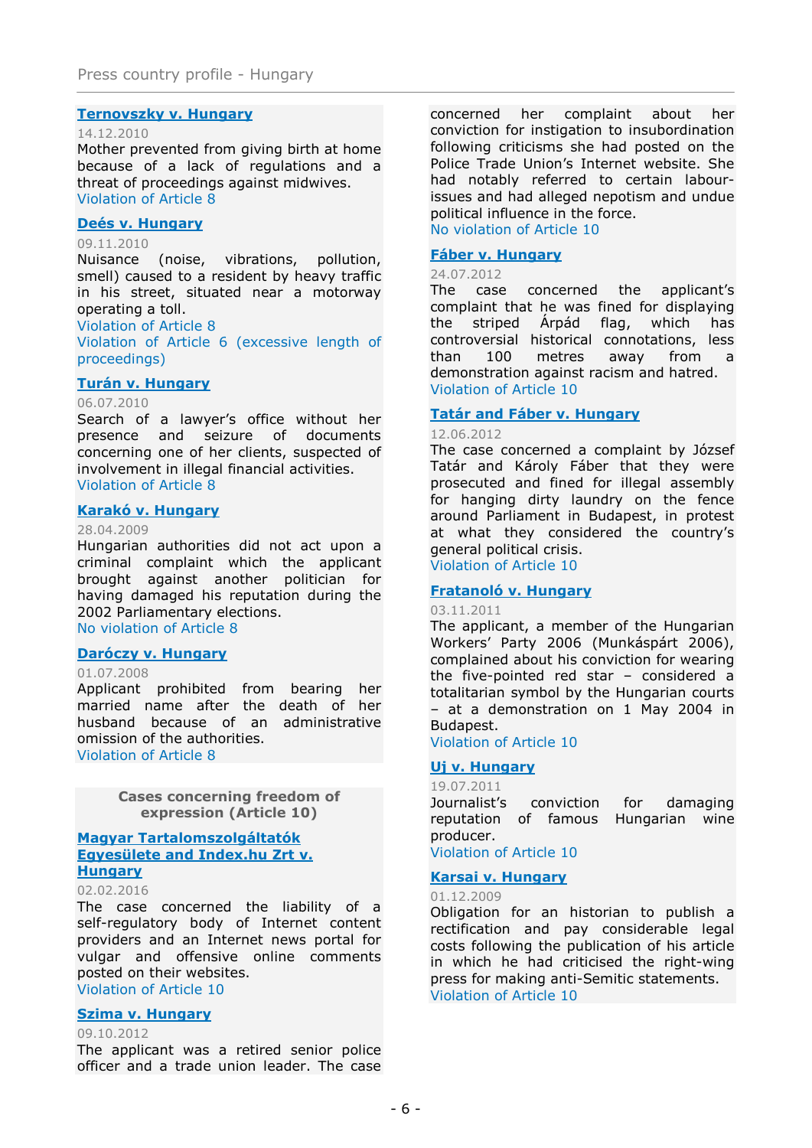#### **[Ternovszky v. Hungary](http://cmiskp.echr.coe.int/tkp197/view.asp?action=open&documentId=878656&portal=hbkm&source=externalbydocnumber&table=F69A27FD8FB86142BF01C1166DEA398649)**

#### 14.12.2010

Mother prevented from giving birth at home because of a lack of regulations and a threat of proceedings against midwives. Violation of Article 8

#### **Deés [v. Hungary](http://cmiskp.echr.coe.int/tkp197/view.asp?action=open&documentId=877013&portal=hbkm&source=externalbydocnumber&table=F69A27FD8FB86142BF01C1166DEA398649)**

#### 09.11.2010

Nuisance (noise, vibrations, pollution, smell) caused to a resident by heavy traffic in his street, situated near a motorway operating a toll.

#### Violation of Article 8

Violation of Article 6 (excessive length of proceedings)

#### **[Turán v. Hungary](http://cmiskp.echr.coe.int/tkp197/view.asp?action=html&documentId=870913&portal=hbkm&source=externalbydocnumber&table=F69A27FD8FB86142BF01C1166DEA398649)**

#### 06.07.2010

Search of a lawyer's office without her presence and seizure of documents concerning one of her clients, suspected of involvement in illegal financial activities. Violation of Article 8

#### **[Karakó v. Hungary](http://cmiskp.echr.coe.int/tkp197/view.asp?action=html&documentId=849861&portal=hbkm&source=externalbydocnumber&table=F69A27FD8FB86142BF01C1166DEA398649)**

#### 28.04.2009

Hungarian authorities did not act upon a criminal complaint which the applicant brought against another politician for having damaged his reputation during the 2002 Parliamentary elections. No violation of Article 8

#### **[Daróczy v. Hungary](http://cmiskp.echr.coe.int/tkp197/view.asp?action=html&documentId=837301&portal=hbkm&source=externalbydocnumber&table=F69A27FD8FB86142BF01C1166DEA398649)**

#### 01.07.2008

Applicant prohibited from bearing her married name after the death of her husband because of an administrative omission of the authorities. Violation of Article 8

> **Cases concerning freedom of expression (Article 10)**

#### **[Magyar Tartalomszolgáltatók](http://hudoc.echr.coe.int/eng-press?i=003-5288151-6577157)  [Egyesülete and Index.hu Zrt v.](http://hudoc.echr.coe.int/eng-press?i=003-5288151-6577157)  [Hungary](http://hudoc.echr.coe.int/eng-press?i=003-5288151-6577157)**

#### 02.02.2016

The case concerned the liability of a self-regulatory body of Internet content providers and an Internet news portal for vulgar and offensive online comments posted on their websites. Violation of Article 10

### **[Szima v. Hungary](http://hudoc.echr.coe.int/sites/eng-press/pages/search.aspx?i=003-4111083-4833839)**

09.10.2012

The applicant was a retired senior police officer and a trade union leader. The case

concerned her complaint about her conviction for instigation to insubordination following criticisms she had posted on the Police Trade Union's Internet website. She had notably referred to certain labourissues and had alleged nepotism and undue political influence in the force.

No violation of Article 10

# **[Fáber v. Hungary](http://hudoc.echr.coe.int/sites/eng-press/pages/search.aspx?i=003-4029502-4701746)**

#### 24.07.2012

The case concerned the applicant's complaint that he was fined for displaying<br>the striped Árpád flag. which has the striped Árpád flag, controversial historical connotations, less than 100 metres away from a demonstration against racism and hatred. Violation of Article 10

#### **[Tatár and Fáber v. Hungary](http://hudoc.echr.coe.int/sites/eng-press/pages/search.aspx?i=003-3980287-4624853)**

#### 12.06.2012

The case concerned a complaint by József Tatár and Károly Fáber that they were prosecuted and fined for illegal assembly for hanging dirty laundry on the fence around Parliament in Budapest, in protest at what they considered the country's general political crisis.

Violation of Article 10

#### **[Fratanoló v. Hungary](http://cmiskp.echr.coe.int/tkp197/view.asp?action=html&documentId=894707&portal=hbkm&source=externalbydocnumber&table=F69A27FD8FB86142BF01C1166DEA398649)**

#### 03.11.2011

The applicant, a member of the Hungarian Workers' Party 2006 (Munkáspárt 2006), complained about his conviction for wearing the five-pointed red star – considered a totalitarian symbol by the Hungarian courts – at a demonstration on 1 May 2004 in Budapest.

Violation of Article 10

#### **[Uj v. Hungary](http://cmiskp.echr.coe.int/tkp197/view.asp?action=open&documentId=888366&portal=hbkm&source=externalbydocnumber&table=F69A27FD8FB86142BF01C1166DEA398649)**

19.07.2011 Journalist's conviction for damaging reputation of famous Hungarian wine producer.

Violation of Article 10

#### **[Karsai v. Hungary](http://cmiskp.echr.coe.int/tkp197/view.asp?action=html&documentId=858976&portal=hbkm&source=externalbydocnumber&table=F69A27FD8FB86142BF01C1166DEA398649)**

#### 01.12.2009

Obligation for an historian to publish a rectification and pay considerable legal costs following the publication of his article in which he had criticised the right-wing press for making anti-Semitic statements. Violation of Article 10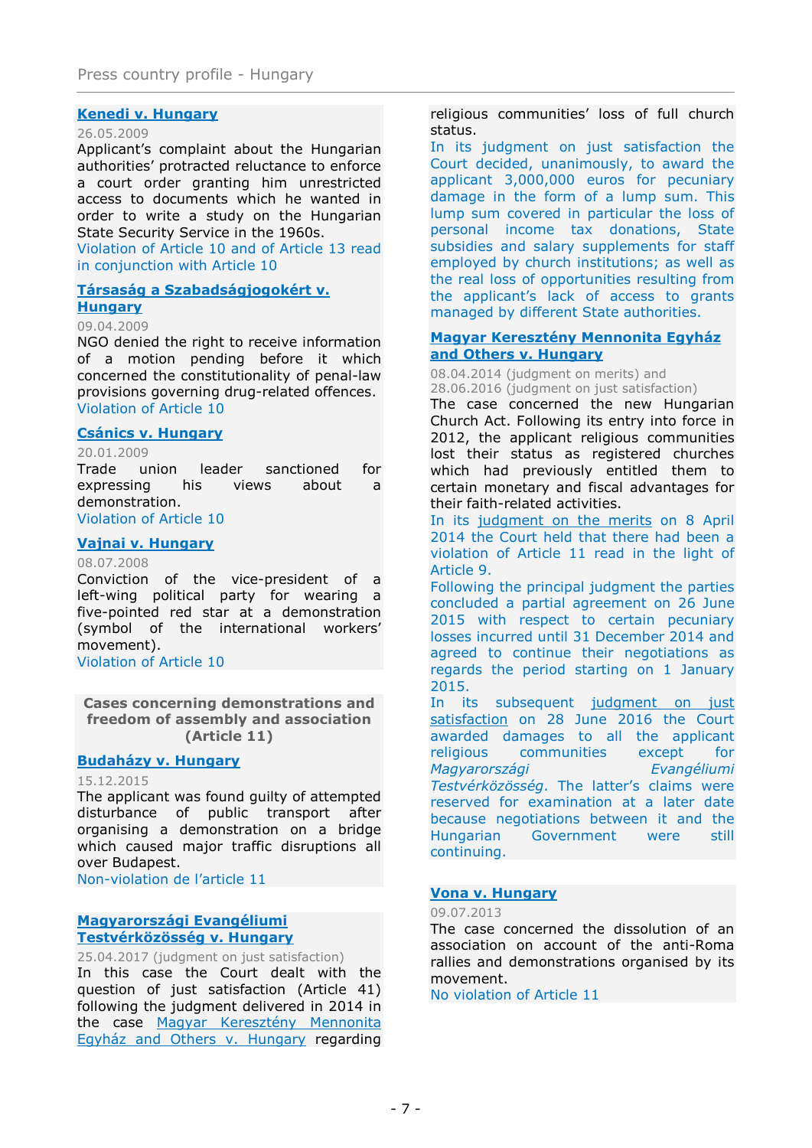#### **[Kenedi v. Hungary](http://cmiskp.echr.coe.int/tkp197/view.asp?action=html&documentId=850507&portal=hbkm&source=externalbydocnumber&table=F69A27FD8FB86142BF01C1166DEA398649)**

#### 26.05.2009

Applicant's complaint about the Hungarian authorities' protracted reluctance to enforce a court order granting him unrestricted access to documents which he wanted in order to write a study on the Hungarian State Security Service in the 1960s.

Violation of Article 10 and of Article 13 read in conjunction with Article 10

#### **[Társaság a Szabadságjogokért v.](http://cmiskp.echr.coe.int/tkp197/view.asp?action=html&documentId=862687&portal=hbkm&source=externalbydocnumber&table=F69A27FD8FB86142BF01C1166DEA398649)  [Hungary](http://cmiskp.echr.coe.int/tkp197/view.asp?action=html&documentId=862687&portal=hbkm&source=externalbydocnumber&table=F69A27FD8FB86142BF01C1166DEA398649)**

#### 09.04.2009

NGO denied the right to receive information of a motion pending before it which concerned the constitutionality of penal-law provisions governing drug-related offences. Violation of Article 10

#### **[Csánics v. Hungary](http://cmiskp.echr.coe.int/tkp197/view.asp?action=html&documentId=845776&portal=hbkm&source=externalbydocnumber&table=F69A27FD8FB86142BF01C1166DEA398649)**

#### 20.01.2009

Trade union leader sanctioned for expressing his views about a demonstration. Violation of Article 10

#### **[Vajnai v. Hungary](http://cmiskp.echr.coe.int/tkp197/view.asp?action=html&documentId=837637&portal=hbkm&source=externalbydocnumber&table=F69A27FD8FB86142BF01C1166DEA398649)**

#### 08.07.2008

Conviction of the vice-president of a left-wing political party for wearing a five-pointed red star at a demonstration (symbol of the international workers' movement).

Violation of Article 10

**Cases concerning demonstrations and freedom of assembly and association (Article 11)**

#### **[Budaházy v. Hungary](http://hudoc.echr.coe.int/eng?i=001-159203)**

#### 15.12.2015

The applicant was found guilty of attempted disturbance of public transport after organising a demonstration on a bridge which caused major traffic disruptions all over Budapest.

Non-violation de l'article 11

#### **[Magyarországi Evangéliumi](http://hudoc.echr.coe.int/eng?i=001-173104)  [Testvérközösség v. Hungary](http://hudoc.echr.coe.int/eng?i=001-173104)**

25.04.2017 (judgment on just satisfaction) In this case the Court dealt with the question of just satisfaction (Article 41) following the judgment delivered in 2014 in the case [Magyar Keresztény Mennonita](http://hudoc.echr.coe.int/sites/eng-press/pages/search.aspx?i=003-4725089-5739803)  [Egyház and Others v. Hungary](http://hudoc.echr.coe.int/sites/eng-press/pages/search.aspx?i=003-4725089-5739803) regarding

religious communities' loss of full church status.

In its judgment on just satisfaction the Court decided, unanimously, to award the applicant 3,000,000 euros for pecuniary damage in the form of a lump sum. This lump sum covered in particular the loss of personal income tax donations, State subsidies and salary supplements for staff employed by church institutions; as well as the real loss of opportunities resulting from the applicant's lack of access to grants managed by different State authorities.

#### **[Magyar Keresztény Mennonita Egyház](http://hudoc.echr.coe.int/sites/eng-press/pages/search.aspx?i=003-4725089-5739803)  [and Others v. Hungary](http://hudoc.echr.coe.int/sites/eng-press/pages/search.aspx?i=003-4725089-5739803)**

08.04.2014 (judgment on merits) and 28.06.2016 (judgment on just satisfaction)

The case concerned the new Hungarian Church Act. Following its entry into force in 2012, the applicant religious communities lost their status as registered churches which had previously entitled them to certain monetary and fiscal advantages for their faith-related activities.

In its [judgment on the merits](http://hudoc.echr.coe.int/eng?i=001-142196) on 8 April 2014 the Court held that there had been a violation of Article 11 read in the light of Article 9.

Following the principal judgment the parties concluded a partial agreement on 26 June 2015 with respect to certain pecuniary losses incurred until 31 December 2014 and agreed to continue their negotiations as regards the period starting on 1 January 2015.

In its subsequent [judgment on just](http://hudoc.echr.coe.int/eng/?i=001-164640)  [satisfaction](http://hudoc.echr.coe.int/eng/?i=001-164640) on 28 June 2016 the Court awarded damages to all the applicant religious communities except for *Magyarországi Evangéliumi Testvérközösség*. The latter's claims were reserved for examination at a later date because negotiations between it and the Hungarian Government were still continuing.

#### **[Vona v. Hungary](http://hudoc.echr.coe.int/sites/eng-press/pages/search.aspx?i=003-4430086-5326345)**

09.07.2013

The case concerned the dissolution of an association on account of the anti-Roma rallies and demonstrations organised by its movement.

No violation of Article 11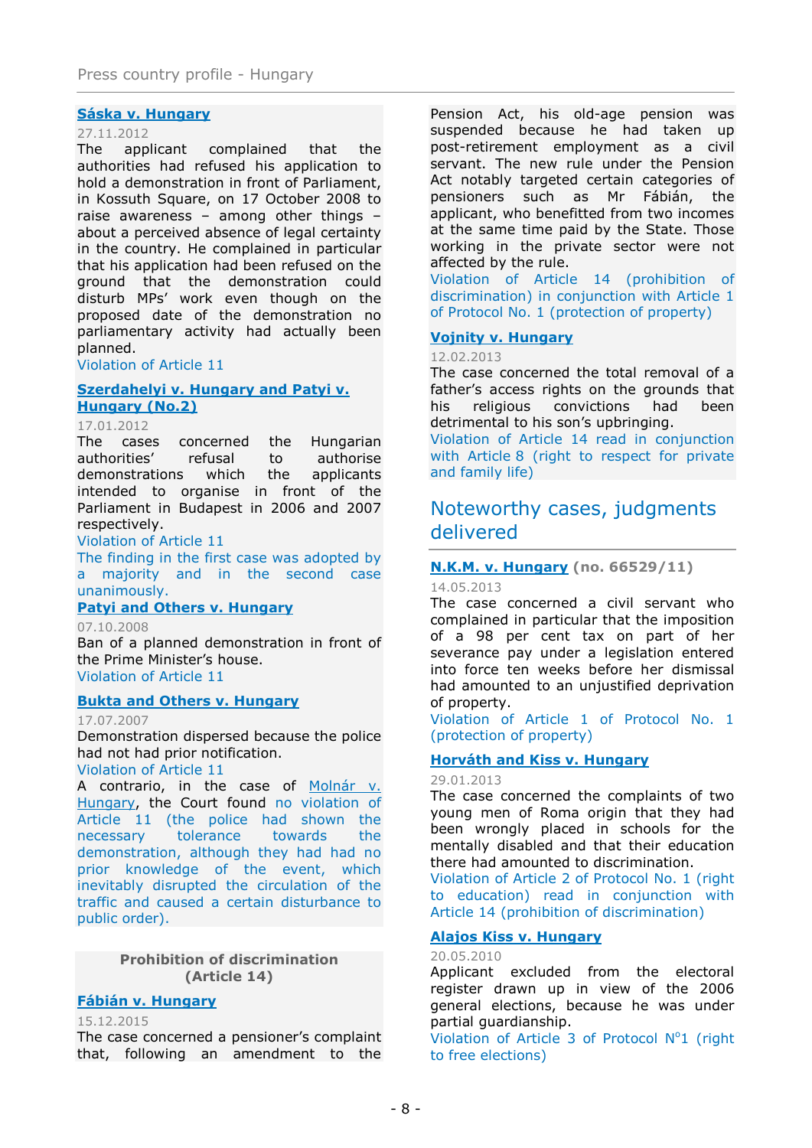#### **[Sáska v. Hungary](http://hudoc.echr.coe.int/sites/eng/pages/search.aspx?i=001-114769)**

#### 27.11.2012

The applicant complained that the authorities had refused his application to hold a demonstration in front of Parliament, in Kossuth Square, on 17 October 2008 to raise awareness – among other things – about a perceived absence of legal certainty in the country. He complained in particular that his application had been refused on the ground that the demonstration could disturb MPs' work even though on the proposed date of the demonstration no parliamentary activity had actually been planned.

Violation of Article 11

#### **[Szerdahelyi v. Hungary](http://cmiskp.echr.coe.int/tkp197/view.asp?action=open&documentId=898645&portal=hbkm&source=externalbydocnumber&table=F69A27FD8FB86142BF01C1166DEA398649) and Patyi v. [Hungary \(No.2\)](http://cmiskp.echr.coe.int/tkp197/view.asp?action=open&documentId=898645&portal=hbkm&source=externalbydocnumber&table=F69A27FD8FB86142BF01C1166DEA398649)**

#### 17.01.2012

The cases concerned the Hungarian authorities' refusal to authorise demonstrations which the applicants intended to organise in front of the Parliament in Budapest in 2006 and 2007 respectively.

#### Violation of Article 11

The finding in the first case was adopted by a majority and in the second case unanimously.

#### **[Patyi and Others v. Hungary](http://cmiskp.echr.coe.int/tkp197/view.asp?action=html&documentId=841801&portal=hbkm&source=externalbydocnumber&table=F69A27FD8FB86142BF01C1166DEA398649)**

07.10.2008

Ban of a planned demonstration in front of the Prime Minister's house. Violation of Article 11

#### **[Bukta and Others v. Hungary](http://cmiskp.echr.coe.int/tkp197/view.asp?action=html&documentId=820907&portal=hbkm&source=externalbydocnumber&table=F69A27FD8FB86142BF01C1166DEA398649)**

17.07.2007

Demonstration dispersed because the police had not had prior notification.

# Violation of Article 11

A contrario, in the case of [Molnár v.](http://cmiskp.echr.coe.int/tkp197/view.asp?action=html&documentId=841801&portal=hbkm&source=externalbydocnumber&table=F69A27FD8FB86142BF01C1166DEA398649)  [Hungary,](http://cmiskp.echr.coe.int/tkp197/view.asp?action=html&documentId=841801&portal=hbkm&source=externalbydocnumber&table=F69A27FD8FB86142BF01C1166DEA398649) the Court found no violation of Article 11 (the police had shown the necessary tolerance towards the demonstration, although they had had no prior knowledge of the event, which inevitably disrupted the circulation of the traffic and caused a certain disturbance to public order).

> **Prohibition of discrimination (Article 14)**

#### **[Fábián v. Hungary](http://hudoc.echr.coe.int/eng-press?i=003-5255480-6524391)**

#### 15.12.2015

The case concerned a pensioner's complaint that, following an amendment to the Pension Act, his old-age pension was suspended because he had taken up post-retirement employment as a civil servant. The new rule under the Pension Act notably targeted certain categories of pensioners such as Mr Fábián, the applicant, who benefitted from two incomes at the same time paid by the State. Those working in the private sector were not affected by the rule.

Violation of Article 14 (prohibition of discrimination) in conjunction with Article 1 of Protocol No. 1 (protection of property)

#### **[Vojnity v. Hungary](http://hudoc.echr.coe.int/sites/eng-press/pages/search.aspx?i=003-4256068-5069778)**

12.02.2013

The case concerned the total removal of a father's access rights on the grounds that his religious convictions had been detrimental to his son's upbringing.

Violation of Article 14 read in conjunction with Article 8 (right to respect for private and family life)

# Noteworthy cases, judgments delivered

#### **[N.K.M. v. Hungary](http://hudoc.echr.coe.int/sites/eng-press/pages/search.aspx?i=003-4355148-5224362) (no. 66529/11)**

14.05.2013

The case concerned a civil servant who complained in particular that the imposition of a 98 per cent tax on part of her severance pay under a legislation entered into force ten weeks before her dismissal had amounted to an unjustified deprivation of property.

Violation of Article 1 of Protocol No. 1 (protection of property)

#### **[Horváth and Kiss v. Hungary](http://hudoc.echr.coe.int/sites/eng-press/pages/search.aspx?i=003-4239243-5042661)**

#### 29.01.2013

The case concerned the complaints of two young men of Roma origin that they had been wrongly placed in schools for the mentally disabled and that their education there had amounted to discrimination.

Violation of Article 2 of Protocol No. 1 (right to education) read in conjunction with Article 14 (prohibition of discrimination)

#### **[Alajos Kiss v. Hungary](http://cmiskp.echr.coe.int/tkp197/view.asp?action=html&documentId=868214&portal=hbkm&source=externalbydocnumber&table=F69A27FD8FB86142BF01C1166DEA398649)**

20.05.2010

Applicant excluded from the electoral register drawn up in view of the 2006 general elections, because he was under partial guardianship.

Violation of Article 3 of Protocol Nº1 (right to free elections)